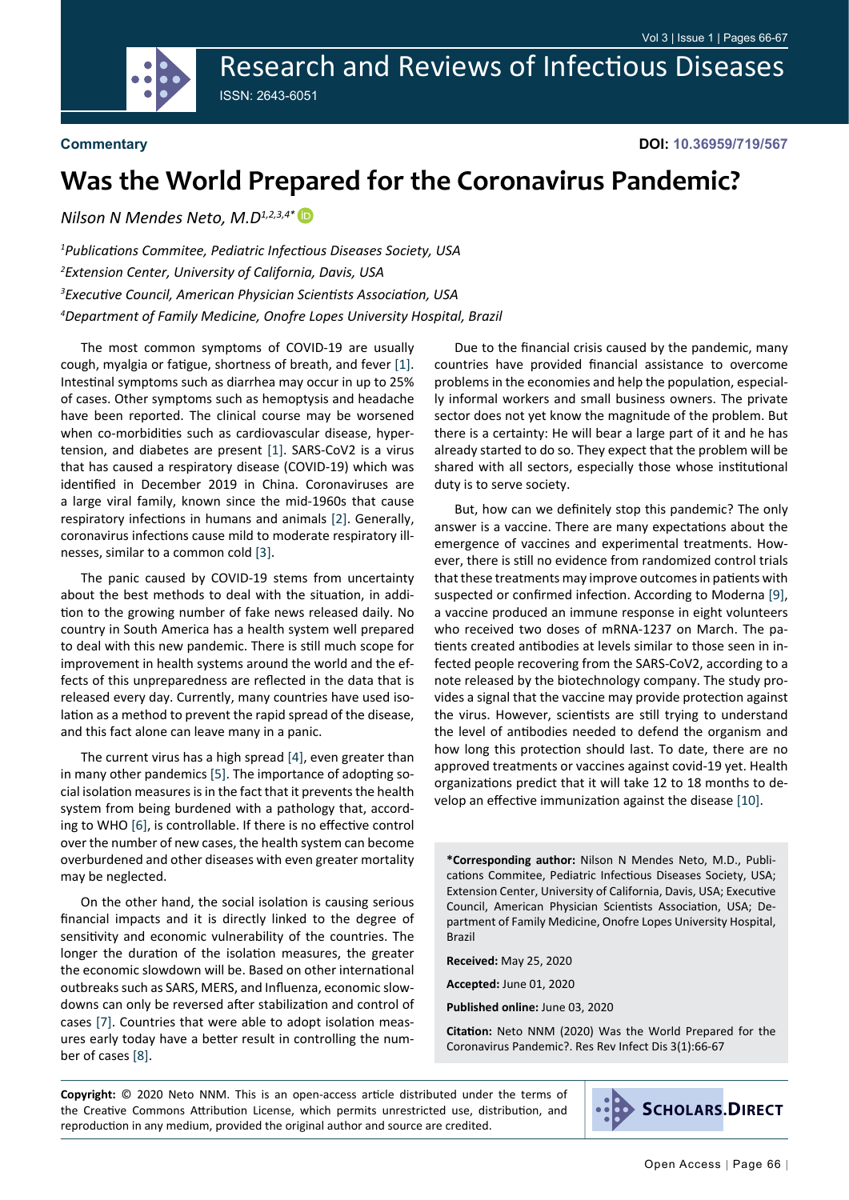Research and Reviews of Infectious Diseases ISSN: 2643-6051



**Commentary**

**DOI: 10.36959/719/567**

## **Was the World Prepared for the Coronavirus Pandemic?**

*Nilson N Mendes Neto, M.D1,2,3,4\**

 *Publications Commitee, Pediatric Infectious Diseases Society, USA Extension Center, University of California, Davis, USA Executive Council, American Physician Scientists Association, USA Department of Family Medicine, Onofre Lopes University Hospital, Brazil*

The most common symptoms of COVID-19 are usually cough, myalgia or fatigue, shortness of breath, and fever [[1](#page-1-0)]. Intestinal symptoms such as diarrhea may occur in up to 25% of cases. Other symptoms such as hemoptysis and headache have been reported. The clinical course may be worsened when co-morbidities such as cardiovascular disease, hypertension, and diabetes are present [[1](#page-1-0)]. SARS-CoV2 is a virus that has caused a respiratory disease (COVID-19) which was identified in December 2019 in China. Coronaviruses are a large viral family, known since the mid-1960s that cause respiratory infections in humans and animals [\[2](#page-1-1)]. Generally, coronavirus infections cause mild to moderate respiratory illnesses, similar to a common cold [\[3](#page-1-2)].

The panic caused by COVID-19 stems from uncertainty about the best methods to deal with the situation, in addition to the growing number of fake news released daily. No country in South America has a health system well prepared to deal with this new pandemic. There is still much scope for improvement in health systems around the world and the effects of this unpreparedness are reflected in the data that is released every day. Currently, many countries have used isolation as a method to prevent the rapid spread of the disease, and this fact alone can leave many in a panic.

The current virus has a high spread [[4\]](#page-1-3), even greater than in many other pandemics [[5](#page-1-4)]. The importance of adopting social isolation measures is in the fact that it prevents the health system from being burdened with a pathology that, according to WHO [[6](#page-1-5)], is controllable. If there is no effective control over the number of new cases, the health system can become overburdened and other diseases with even greater mortality may be neglected.

On the other hand, the social isolation is causing serious financial impacts and it is directly linked to the degree of sensitivity and economic vulnerability of the countries. The longer the duration of the isolation measures, the greater the economic slowdown will be. Based on other international outbreaks such as SARS, MERS, and Influenza, economic slowdowns can only be reversed after stabilization and control of cases [\[7](#page-1-6)]. Countries that were able to adopt isolation measures early today have a better result in controlling the number of cases [\[8](#page-1-7)].

Due to the financial crisis caused by the pandemic, many countries have provided financial assistance to overcome problems in the economies and help the population, especially informal workers and small business owners. The private sector does not yet know the magnitude of the problem. But there is a certainty: He will bear a large part of it and he has already started to do so. They expect that the problem will be shared with all sectors, especially those whose institutional duty is to serve society.

But, how can we definitely stop this pandemic? The only answer is a vaccine. There are many expectations about the emergence of vaccines and experimental treatments. However, there is still no evidence from randomized control trials that these treatments may improve outcomes in patients with suspected or confirmed infection. According to Moderna [[9](#page-1-8)], a vaccine produced an immune response in eight volunteers who received two doses of mRNA-1237 on March. The patients created antibodies at levels similar to those seen in infected people recovering from the SARS-CoV2, according to a note released by the biotechnology company. The study provides a signal that the vaccine may provide protection against the virus. However, scientists are still trying to understand the level of antibodies needed to defend the organism and how long this protection should last. To date, there are no approved treatments or vaccines against covid-19 yet. Health organizations predict that it will take 12 to 18 months to develop an effective immunization against the disease [[10](#page-1-9)].

**\*Corresponding author:** Nilson N Mendes Neto, M.D., Publications Commitee, Pediatric Infectious Diseases Society, USA; Extension Center, University of California, Davis, USA; Executive Council, American Physician Scientists Association, USA; Department of Family Medicine, Onofre Lopes University Hospital, Brazil

**Received:** May 25, 2020

**Accepted:** June 01, 2020

**Published online:** June 03, 2020

**Citation:** Neto NNM (2020) Was the World Prepared for the Coronavirus Pandemic?. Res Rev Infect Dis 3(1):66-67

**Copyright:** © 2020 Neto NNM. This is an open-access article distributed under the terms of the Creative Commons Attribution License, which permits unrestricted use, distribution, and reproduction in any medium, provided the original author and source are credited.